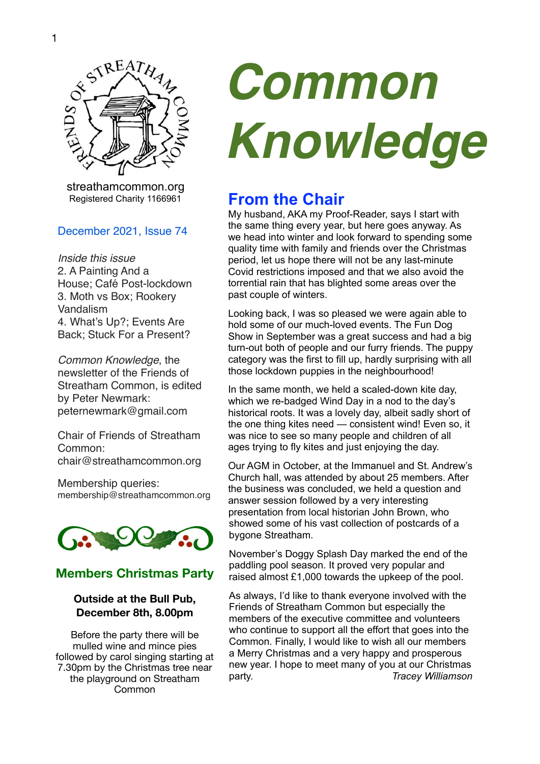

 streathamcommon.org Registered Charity 1166961

#### December 2021, Issue 74

*Inside this issue* 2. A Painting And a House; Café Post-lockdown 3. Moth vs Box; Rookery Vandalism 4. What's Up?; Events Are Back; Stuck For a Present?

*Common Knowledge*, the newsletter of the Friends of Streatham Common, is edited by Peter Newmark: [peternewmark@gmail.com](mailto:peternewmark@gmail.com)

Chair of Friends of Streatham Common: [chair@streathamcommon.org](mailto:chair@streathamcommon.org)

Membership queries: [membership@streathamcommon.org](mailto:membership@streathamcommon.org)



#### **Members Christmas Party**

#### **Outside at the Bull Pub, December 8th, 8.00pm**

Before the party there will be mulled wine and mince pies followed by carol singing starting at 7.30pm by the Christmas tree near the playground on Streatham Common

# *Common Knowledge*

## **From the Chair**

My husband, AKA my Proof-Reader, says I start with the same thing every year, but here goes anyway. As we head into winter and look forward to spending some quality time with family and friends over the Christmas period, let us hope there will not be any last-minute Covid restrictions imposed and that we also avoid the torrential rain that has blighted some areas over the past couple of winters.

Looking back, I was so pleased we were again able to hold some of our much-loved events. The Fun Dog Show in September was a great success and had a big turn-out both of people and our furry friends. The puppy category was the first to fill up, hardly surprising with all those lockdown puppies in the neighbourhood!

In the same month, we held a scaled-down kite day, which we re-badged Wind Day in a nod to the day's historical roots. It was a lovely day, albeit sadly short of the one thing kites need — consistent wind! Even so, it was nice to see so many people and children of all ages trying to fly kites and just enjoying the day.

Our AGM in October, at the Immanuel and St. Andrew's Church hall, was attended by about 25 members. After the business was concluded, we held a question and answer session followed by a very interesting presentation from local historian John Brown, who showed some of his vast collection of postcards of a bygone Streatham.

November's Doggy Splash Day marked the end of the paddling pool season. It proved very popular and raised almost £1,000 towards the upkeep of the pool.

As always, I'd like to thank everyone involved with the Friends of Streatham Common but especially the members of the executive committee and volunteers who continue to support all the effort that goes into the Common. Finally, I would like to wish all our members a Merry Christmas and a very happy and prosperous new year. I hope to meet many of you at our Christmas party. *Tracey Williamson*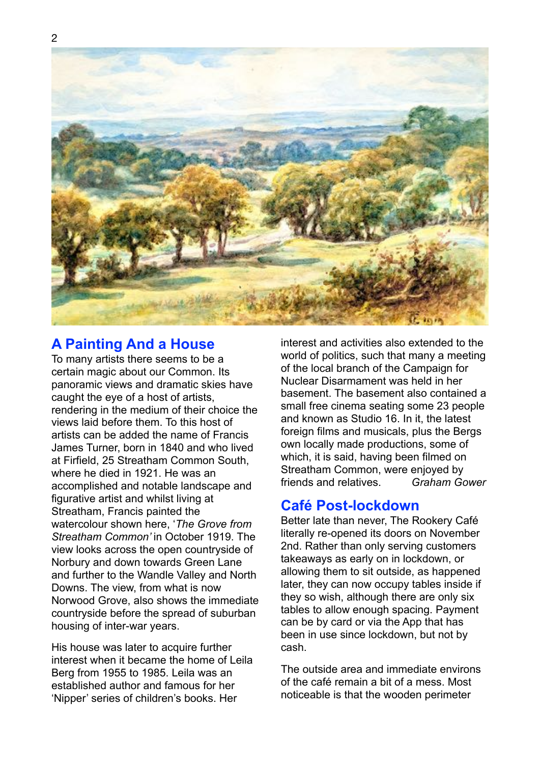

#### **A Painting And a House**

To many artists there seems to be a certain magic about our Common. Its panoramic views and dramatic skies have caught the eye of a host of artists, rendering in the medium of their choice the views laid before them. To this host of artists can be added the name of Francis James Turner, born in 1840 and who lived at Firfield, 25 Streatham Common South, where he died in 1921. He was an accomplished and notable landscape and figurative artist and whilst living at Streatham, Francis painted the watercolour shown here, '*The Grove from Streatham Common'* in October 1919. The view looks across the open countryside of Norbury and down towards Green Lane and further to the Wandle Valley and North Downs. The view, from what is now Norwood Grove, also shows the immediate countryside before the spread of suburban housing of inter-war years.

His house was later to acquire further interest when it became the home of Leila Berg from 1955 to 1985. Leila was an established author and famous for her 'Nipper' series of children's books. Her

interest and activities also extended to the world of politics, such that many a meeting of the local branch of the Campaign for Nuclear Disarmament was held in her basement. The basement also contained a small free cinema seating some 23 people and known as Studio 16. In it, the latest foreign films and musicals, plus the Bergs own locally made productions, some of which, it is said, having been filmed on Streatham Common, were enjoyed by friends and relatives. *Graham Gower*

#### **Café Post-lockdown**

Better late than never, The Rookery Café literally re-opened its doors on November 2nd. Rather than only serving customers takeaways as early on in lockdown, or allowing them to sit outside, as happened later, they can now occupy tables inside if they so wish, although there are only six tables to allow enough spacing. Payment can be by card or via the App that has been in use since lockdown, but not by cash.

The outside area and immediate environs of the café remain a bit of a mess. Most noticeable is that the wooden perimeter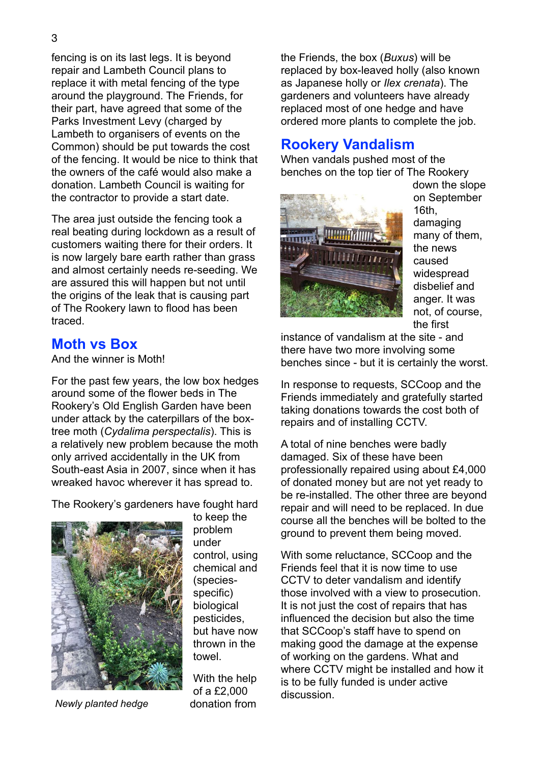fencing is on its last legs. It is beyond repair and Lambeth Council plans to replace it with metal fencing of the type around the playground. The Friends, for their part, have agreed that some of the Parks Investment Levy (charged by Lambeth to organisers of events on the Common) should be put towards the cost

the owners of the café would also make a donation. Lambeth Council is waiting for the contractor to provide a start date. The area just outside the fencing took a

of the fencing. It would be nice to think that

real beating during lockdown as a result of customers waiting there for their orders. It is now largely bare earth rather than grass and almost certainly needs re-seeding. We are assured this will happen but not until the origins of the leak that is causing part of The Rookery lawn to flood has been traced.

#### **Moth vs Box**

And the winner is Moth!

For the past few years, the low box hedges around some of the flower beds in The Rookery's Old English Garden have been under attack by the caterpillars of the boxtree moth (*Cydalima perspectalis*). This is a relatively new problem because the moth only arrived accidentally in the UK from South-east Asia in 2007, since when it has wreaked havoc wherever it has spread to.

The Rookery's gardeners have fought hard



to keep the problem under control, using chemical and (speciesspecific) biological pesticides, but have now thrown in the towel.

*Newly planted hedge*

With the help of a £2,000 donation from

the Friends, the box (*Buxus*) will be replaced by box-leaved holly (also known as Japanese holly or *Ilex crenata*). The gardeners and volunteers have already replaced most of one hedge and have ordered more plants to complete the job.

## **Rookery Vandalism**

When vandals pushed most of the benches on the top tier of The Rookery



down the slope on September 16th, damaging many of them, the news caused widespread disbelief and anger. It was not, of course, the first

instance of vandalism at the site - and there have two more involving some benches since - but it is certainly the worst.

In response to requests, SCCoop and the Friends immediately and gratefully started taking donations towards the cost both of repairs and of installing CCTV.

A total of nine benches were badly damaged. Six of these have been professionally repaired using about £4,000 of donated money but are not yet ready to be re-installed. The other three are beyond repair and will need to be replaced. In due course all the benches will be bolted to the ground to prevent them being moved.

With some reluctance, SCCoop and the Friends feel that it is now time to use CCTV to deter vandalism and identify those involved with a view to prosecution. It is not just the cost of repairs that has influenced the decision but also the time that SCCoop's staff have to spend on making good the damage at the expense of working on the gardens. What and where CCTV might be installed and how it is to be fully funded is under active discussion.